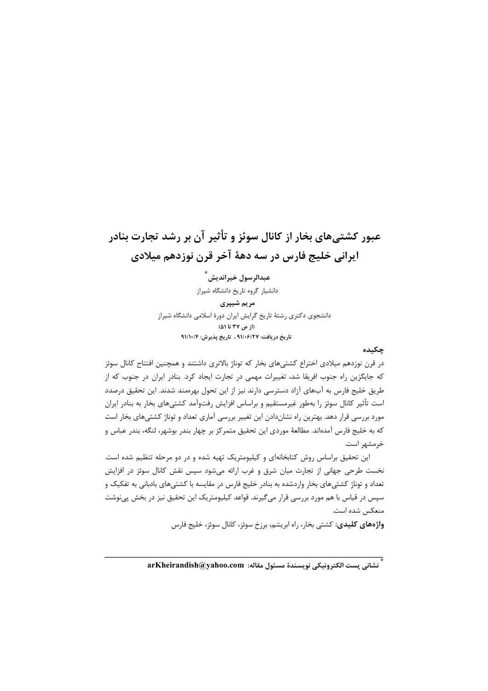# عبور کشتے،های بخار از کانال سوئز و تأثیر آن بر رشد تجارت بنادر ابرانی خلیج فارس در سه دههٔ آخر قرن نوزدهم میلادی

عبدالرسول خيرانديش ٌ دانشیار گروه تاریخ دانشگاه شیراز مریم شیپری دانشجوی دکتری رشتهٔ تاریخ گرایش ایران دورهٔ اسلامی دانشگاه شیراز (از ص ۳۷ تا ۵۱) تاريخ دريافت: ٩١/٠۶/٢٧ ، تاريخ پذيرش: ٩١/١٠/٤

## چکىدە

در قرن نوزدهم میلادی اختراع کشتیهای بخار که توناژ بالاتری داشتند و همچنین افتتاح کانال سوئز که جایگزین راه جنوب افریقا شد، تغییرات مهمی در تجارت ایجاد کرد. بنادر ایران در جنوب که از طریق خلیج فارس به آبهای آزاد دسترسی دارند نیز از این تحول بهرهمند شدند. این تحقیق درصدد است تأثیر کانال سوئز را بهطور غیرمستقیم و براساس افزایش رفتوآمد کشتیهای بخار به بنادر ایران مورد بررسی قرار دهد. بهترین راه نشاندادن این تغییر بررسی آماری تعداد و توناژ کشتیهای بخار است که به خلیج فارس آمدهاند. مطالعهٔ موردی این تحقیق متمرکز بر چهار بندر بوشهر، لنگه، بندر عباس و خرمشهر است.

این تحقیق براساس روش کتابخانهای و کیلیومتریک تهیه شده و در دو مرحله تنظیم شده است. نخست طرحی جهانی از تجارت میان شرق و غرب ارائه میشود سپس نقش کانال سوئز در افزایش تعداد و توناژ کشتیهای بخار واردشده به بنادر خلیج فارس در مقایسه با کشتیهای بادبانی به تفکیک و سپس در قیاس با هم مورد بررسی قرار میگیرند. قواعد کیلیومتریک این تحقیق نیز در بخش پینوشت منعكس شده است.

واژههای کلیدی: کشتی بخار، راه ابریشم، برزخ سوئز، کانال سوئز، خلیج فارس

ِّ نشاني پست الكترونيكي نويسندهٔ مسئول مقاله: srKheirandish@yahoo.com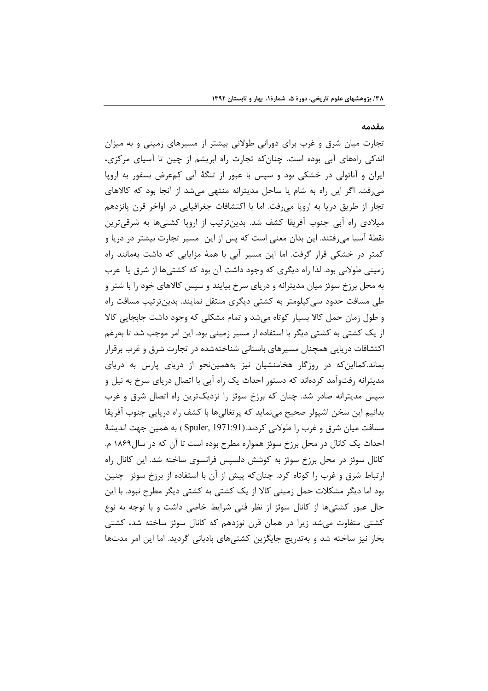### مقدمه

تجارت میان شرق و غرب برای دورانی طولانی بیشتر از مسیرهای زمینی و به میزان اندکی راههای آبی بوده است. چنان که تجارت راه ابریشم از چین تا آسیای مرکزی، ایران و آناتولی در خشکی بود و سپس با عبور از تنگهٔ آبی کمعرض بسفور به اروپا می رفت. اگر این راه به شام یا ساحل مدیترانه منتهی می شد از آنجا بود که کالاهای تجار از طریق دریا به اروپا میرفت. اما با اکتشافات جغرافیایی در اواخر قرن پانزدهم میلادی ,اه آبی جنوب آفریقا کشف شد. بدینترتیب از اروپا کشتیها به شرقیترین نقطهٔ آسیا می فتند. این بدان معنی است که پس از این مسیر تجارت بیشتر در دریا و کمتر در خشکی قرار گرفت. اما این مسیر آبی با همهٔ مزایایی که داشت بهمانند راه زمینی طولانی بود. لذا راه دیگری که وجود داشت آن بود که کشتیها از شرق یا غرب به محل برزخ سوئز میان مدیترانه و دریای سرخ بیایند و سپس کالاهای خود را با شتر و طی مسافت حدود سی کیلومتر به کشتی دیگری منتقل نمایند. بدینترتیب مسافت راه و طول زمان حمل كالا بسيار كوتاه مى شد و تمام مشكلى كه وجود داشت جابجايى كالا از یک کشتی به کشتی دیگر با استفاده از مسیر زمینی بود. این امر موجب شد تا بهرغم اکتشافات دریایی همچنان مسیرهای باستانی شناختهشده در تجارت شرق و غرب برقرار بماند.کمااین که در روزگار هخامنشیان نیز بههمین نحو از دریای پارس به دریای مدیترانه رفتوآمد کردهاند که دستور احداث یک راه آبی با اتصال دریای سرخ به نیل و سپس مدیترانه صادر شد. چنان که برزخ سوئز را نزدیکترین راه اتصال شرق و غرب بدانيم اين سخن اشپولر صحيح مي نمايد كه پر تغالي ها با كشف راه دريايي جنوب آفريقا مسافت ميان شرق و غرب را طولاني كردند.(Spuler, 1971:91 ) به همين جهت انديشهٔ احداث یک کانال در محل برزخ سوئز همواره مطرح بوده است تا آن که در سال۱۸۶۹ م. کانال سوئز در محل برزخ سوئز به کوشش دلسپس فرانسوی ساخته شد. این کانال راه ارتباط شرق و غرب را کوتاه کرد. چنانکه پیش از آن با استفاده از برزخ سوئز چنین بود اما دیگر مشکلات حمل زمینی کالا از یک کشتی به کشتی دیگر مطرح نبود. با این حال عبور کشتیها از کانال سوئز از نظر فنی شرایط خاصی داشت و با توجه به نوع کشتی متفاوت میشد زیرا در همان قرن نوزدهم که کانال سوئز ساخته شد، کشتی بخار نیز ساخته شد و بهتدریج جایگزین کشتیهای بادبانی گردید. اما این امر مدتها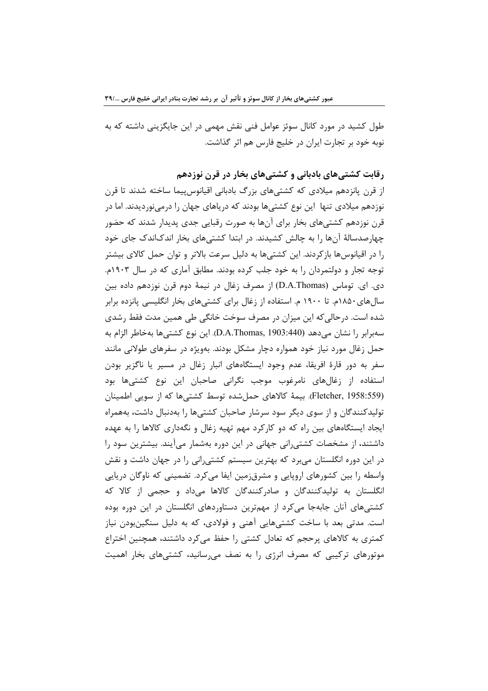طول کشید در مورد کانال سوئز عوامل فنی نقش مهمی در این جایگزینی داشته که به نوبه خود بر تجارت ایران در خلیج فارس هم اثر گذاشت.

رقابت کشتی های بادبانی و کشتی های بخار در قرن نوزدهم

از قرن پانزدهم میلادی که کشتیهای بزرگ بادبانی اقیانوس پیما ساخته شدند تا قرن نوزدهم میلادی تنها این نوع کشتیها بودند که دریاهای جهان را درمینوردیدند. اما در قرن نوزدهم کشتی،های بخار برای آنها به صورت رقبایی جدی پدیدار شدند که حضور چهارصدسالهٔ آنها را به چالش کشیدند. در ابتدا کشتیهای بخار اندکاندک جای خود را در اقیانوسها بازکردند. این کشتیها به دلیل سرعت بالاتر و توان حمل کالای بیشتر توجه تجار و دولتمردان را به خود جلب کرده بودند. مطابق آماری که در سال ۱۹۰۳م. دی. ای. توماس (D.A.Thomas) از مصرف زغال در نیمهٔ دوم قرن نوزدهم داده بین سالهای۱۸۵۰م. تا ۱۹۰۰ م. استفاده از زغال برای کشتیهای بخار انگلیسی پانزده برابر شده است. درحالیکه این میزان در مصرف سوخت خانگی طی همین مدت فقط رشدی سەبرابر را نشان مىدھد (D.A.Thomas, 1903:440). اين نوع كشتىھا بەخاطر الزام بە حمل زغال مورد نیاز خود همواره دچار مشکل بودند. بهویژه در سفرهای طولانی مانند سفر به دور قارهٔ افریقا، عدم وجود ایستگاههای انبار زغال در مسیر یا ناگزیر بودن استفاده از زغالهای نامرغوب موجب نگرانی صاحبان این نوع کشتیها بود (Fletcher, 1958:559). بیمهٔ کالاهای حملشده توسط کشتیها که از سویی اطمینان تولیدکنندگان و از سوی دیگر سود سرشار صاحبان کشتیها را بهدنبال داشت، بههمراه ایجاد ایستگاههای بین راه که دو کارکرد مهم تهیه زغال و نگهداری کالاها را به عهده داشتند، از مشخصات کشتی٫انی جهانی در این دوره بهشمار میآیند. بیشترین سود ٫ا در این دوره انگلستان میبرد که بهترین سیستم کشتیرانی را در جهان داشت و نقش واسطه را بین کشورهای اروپایی و مشرقزمین ایفا میکرد. تضمینی که ناوگان دریایی انگلستان به تولیدکنندگان و صادرکنندگان کالاها میداد و حجمی از کالا که کشتیهای آنان جابهجا میکرد از مهمترین دستاوردهای انگلستان در این دوره بوده است. مدتی بعد با ساخت کشتیهایی آهنی و فولادی، که به دلیل سنگینبودن نیاز كمترى به كالاهاى پرحجم كه تعادل كشتى را حفظ مى كرد داشتند، همچنين اختراع موتورهای ترکیبی که مصرف انرژی را به نصف می سانید، کشتیهای بخار اهمیت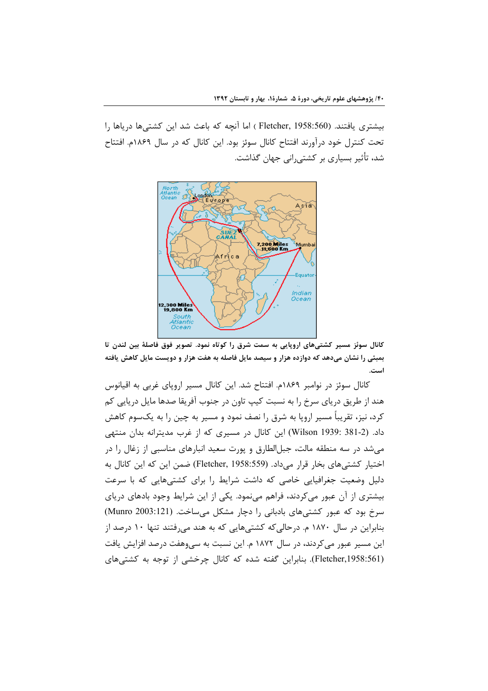بیشتری یافتند. (Fletcher, 1958:560 ) اما آنچه که باعث شد این کشتیها دریاها را تحت کنترل خود درآورند افتتاح کانال سوئز بود. این کانال که در سال ۱۸۶۹م. افتتاح شد، تأثیر بسیاری بر کشتیرانی جهان گذاشت.



کانال سوئز مسیر کشتیهای اروپایی به سمت شرق را کوتاه نمود. تصویر فوق فاصلهٔ بین لندن تا بمبئی را نشان میدهد که دوازده هزار و سیصد مایل فاصله به هفت هزار و دویست مایل کاهش یافته است.

کانال سوئز در نوامبر ۱۸۶۹م. افتتاح شد. این کانال مسیر اروپای غربی به اقیانوس هند از طریق دریای سرخ را به نسبت کیپ تاون در جنوب آفریقا صدها مایل دریایی کم کرد، نیز، تقریباً مسیر اروپا به شرق را نصف نمود و مسیر به چین را به یکسوم کاهش داد. (Wilson 1939: 381-2) این کانال در مسیری که از غرب مدیترانه بدان منتهی می شد در سه منطقه مالت، جبلالطارق و پورت سعید انبارهای مناسبی از زغال را در اختیار کشتی های بخار قرار می داد. (Fletcher, 1958:559) ضمن این که این کانال به دلیل وضعیت جغرافیایی خاصی که داشت شرایط را برای کشتیهایی که با سرعت بیشتری از آن عبور میکردند، فراهم میiمود. یکی از این شرایط وجود بادهای دریای سرخ بود که عبور کشتیهای بادبانی را دچار مشکل میساخت. (Munro 2003:121) بنابراین در سال ۱۸۷۰ م. درحالی که کشتی هایی که به هند می فتند تنها ۱۰ درصد از این مسیر عبور می کردند، در سال ۱۸۷۲ م. این نسبت به سی وهفت درصد افزایش یافت (Fletcher,1958:561). بنابراین گفته شده که کانال چرخشی از توجه به کشتی های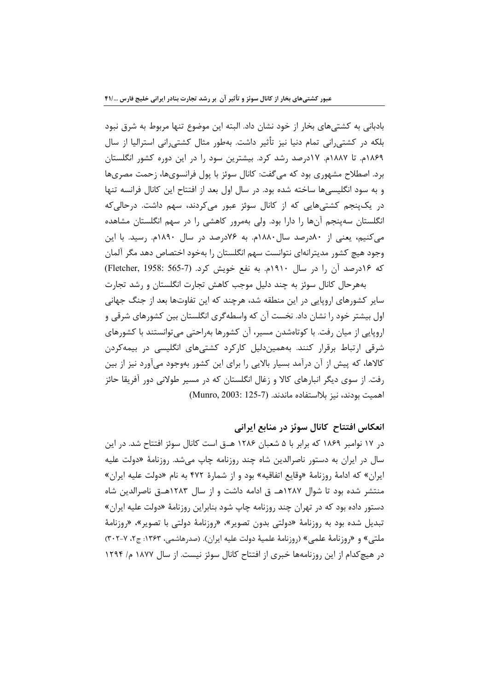بادبانی به کشتیهای بخار از خود نشان داد. البته این موضوع تنها مربوط به شرق نبود بلکه در کشتی٫انی تمام دنیا نیز تأثیر داشت. بهطور مثال کشتی٫انی استرالیا از سال ١٨۶٩م. تا ١٨٨٧م. ١٧درصد رشد كرد. بيشترين سود را در اين دوره كشور انگلستان برد. اصطلاح مشهوری بود که می گفت: کانال سوئز با پول فرانسویها، زحمت مصریها و به سود انگلیسی ها ساخته شده بود. در سال اول بعد از افتتاح این کانال فرانسه تنها در یکپنجم کشتیهایی که از کانال سوئز عبور میکردند، سهم داشت. درحالی که انگلستان سهپنجم آنها را دارا بود. ولی بهمرور کاهشی را در سهم انگلستان مشاهده می کنیم، یعنی از ۸۰درصد سال ۱۸۸۰م. به ۷۶درصد در سال ۱۸۹۰م. رسید. با این وجود هيچ كشور مديترانهاي نتوانست سهم انگلستان را بهخود اختصاص دهد مگر آلمان که ۱۶درصد آن را در سال ۱۹۱۰م. به نفع خویش کرد. (Fletcher, 1958: 565-7)

بههرحال کانال سوئز به چند دلیل موجب کاهش تجارت انگلستان و رشد تجارت سایر کشورهای اروپایی در این منطقه شد، هرچند که این تفاوتها بعد از جنگ جهانی اول بیشتر خود را نشان داد. نخست آن که واسطهگری انگلستان بین کشورهای شرقی و اروپایی از میان رفت. با کوتاهشدن مسیر، آن کشورها بهراحتی میتوانستند با کشورهای شرقی ارتباط برقرار کنند. بههمیندلیل کارکرد کشتیهای انگلیسی در بیمهکردن كالاها، كه پيش از آن درآمد بسيار بالايي را براي اين كشور بهوجود ميآورد نيز از بين رفت. از سوی دیگر انبارهای کالا و زغال انگلستان که در مسیر طولانی دور آفریقا حائز اهميت بودند، نيز بلااستفاده ماندند. (7-125 :Munro, 2003)

انعکاس افتتاح کانال سوئز در منابع ایرانی

در ۱۷ نوامبر ۱۸۶۹ که برابر با ۵ شعبان ۱۲۸۶ هـ.ق است کانال سوئز افتتاح شد. در این سال در ایران به دستور ناصرالدین شاه چند روزنامه چاپ میشد. روزنامهٔ «دولت علیه ایران» که ادامهٔ روزنامهٔ «وقایع اتفاقیه» بود و از شمارهٔ ۴۷۲ به نام «دولت علیه ایران» منتشر شده بود تا شوال ۱۲۸۷هـ ق ادامه داشت و از سال ۱۲۸۳هــق ناصرالدین شاه دستور داده بود که در تهران چند روزنامه چاپ شود بنابراین روزنامهٔ «دولت علیه ایران» تبدیل شده بود به روزنامهٔ «دولتی بدون تصویر»، «روزنامهٔ دولتی با تصویر»، «روزنامهٔ ملتي» و «روزنامهٔ علمي» (روزنامهٔ علميهٔ دولت عليه ايران). (صدرهاشمي، ١٣۶٣: ج٢، ٧-٣٠٢) در هیچ کدام از این روزنامهها خبری از افتتاح کانال سوئز نیست. از سال ۱۸۷۷ م/ ۱۲۹۴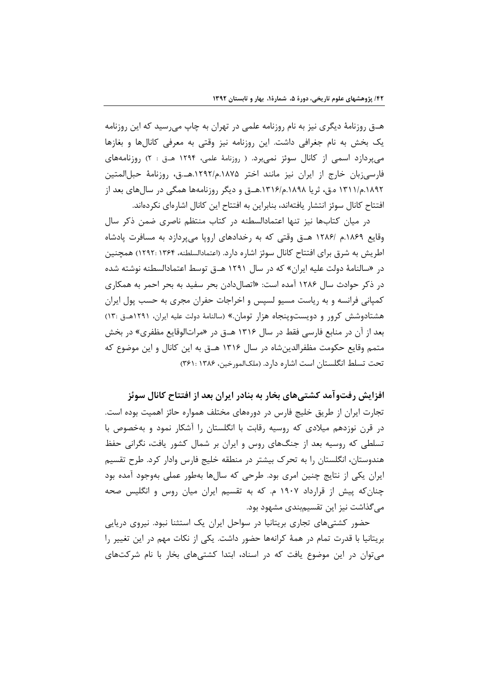هــق روزنامهٔ دیگری نیز به نام روزنامه علمی در تهران به چاپ میرسید که این روزنامه یک بخش به نام جغرافی داشت. این روزنامه نیز وقتی به معرفی کانالها و بغازها میپردازد اسمی از کانال سوئز نمیبرد. ( روزنامهٔ علمی، ۱۲۹۴ هــق : ۲) روزنامههای فارسي;بان خارج از ايران نيز مانند اختر ۱۸۷۵.م/۱۲۹۲.هـ.ق، روزنامهٔ حبلالمتين ۱۸۹۲.م/۱۳۱۱ ه.ق، ثریا ۱۸۹۸.م/۱۳۱۶.هــق و دیگر روزنامهها همگی در سال های بعد از افتتاح كانال سوئز انتشار يافتهاند، بنابراين به افتتاح اين كانال اشارهاي نكردهاند.

در میان کتابها نیز تنها اعتمادالسطنه در کتاب منتظم ناصری ضمن ذکر سال وقایع ۱۸۶۹.م /۱۲۸۶ هـ ق وقتی که به رخدادهای اروپا میپردازد به مسافرت پادشاه اطریش به شرق برای افتتاح کانال سوئز اشاره دارد. (اعتمادالسلطنه، ۱۳۶۴: ۱۲۹۲) همچنین در «سالنامهٔ دولت علیه ایران» که در سال ۱۲۹۱ هـق توسط اعتمادالسطنه نوشته شده در ذکر حوادث سال ۱۲۸۶ آمده است: «اتصال دادن بحر سفید به بحر احمر به همکاری کمیانی فرانسه و به ریاست مسیو لسیس و اخراجات حفران مجری به حسب پول ایران هشتادوشش کرور و دویستوپنجاه هزار تومان.» (سالنامهٔ دولت علیه ایران، ۱۲۹۱هــق :۱۳) بعد از آن در منابع فارسی فقط در سال ۱۳۱۶ هــق در «مراتالوقایع مظفری» در بخش متمم وقایع حکومت مظفرالدین شاه در سال ۱۳۱۶ هـ ق به این کانال و این موضوع که تحت تسلط انگلستان است اشاره دارد. (ملکالمورخین، ۱۳۸۶: ۲۶۱:

افزایش رفتوآمد کشتے های بخار به بنادر ایران بعد از افتتاح کانال سوئز تجارت ایران از طریق خلیج فارس در دورههای مختلف همواره حائز اهمیت بوده است. در قرن نوزدهم میلادی که روسیه رقابت با انگلستان را آشکار نمود و بهخصوص با تسلطی که روسیه بعد از جنگهای روس و ایران بر شمال کشور یافت، نگرانی حفظ هندوستان، انگلستان را به تحرک بیشتر در منطقه خلیج فارس وادار کرد. طرح تقسیم ایران یکی از نتایج چنین امری بود. طرحی که سالها بهطور عملی بهوجود آمده بود چنان که پیش از قرارداد ۱۹۰۷ م. که به تقسیم ایران میان روس و انگلیس صحه مے گذاشت نیز این تقسیمبندی مشهود بود.

حضور کشتیهای تجاری بریتانیا در سواحل ایران یک استثنا نبود. نیروی دریایی بریتانیا با قدرت تمام در همهٔ کرانهها حضور داشت. یکی از نکات مهم در این تغییر را می توان در این موضوع یافت که در اسناد، ابتدا کشتی های بخار با نام شرکتهای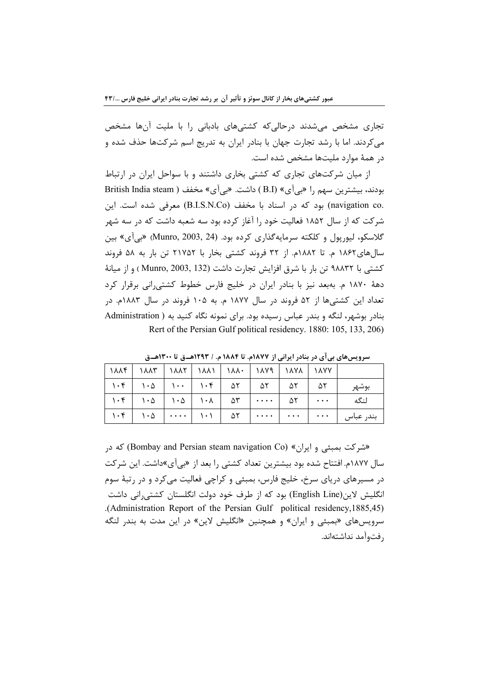تجاری مشخص می شدند درحالی که کشتی های بادبانی را با ملیت آنها مشخص می کردند. اما با رشد تجارت جهان با بنادر ایران به تدریج اسم شرکتها حذف شده و در همهٔ موارد ملیتها مشخص شده است.

از میان شرکتهای تجاری که کشتی بخاری داشتند و با سواحل ایران در ارتباط بودند، بیشترین سهم را «بی آی» (B.I) داشت. «بی آی» مخفف ( British India steam .navigation co) بود که در اسناد با مخفف (B.I.S.N.Co) معرفی شده است. این شرکت که از سال ۱۸۵۲ فعالیت خود را آغاز کرده بود سه شعبه داشت که در سه شهر گلاسکو، ليوريول و کلکته سرمايهگذاري کرده بود. (Munro, 2003, 24) «بي آي» بين سالهای۱۸۶۲ م. تا ۱۸۸۲م. از ۳۲ فروند کشتی بخار با ۲۱۷۵۲ تن بار به ۵۸ فروند كشتى با ٩٨٨٣٢ تن بار با شرق افزايش تجارت داشت (Munro, 2003, 132) و از ميانهٔ دههٔ ۱۸۷۰ م. بهبعد نیز با بنادر ایران در خلیج فارس خطوط کشتی انی برقرار کرد تعداد این کشتے ها از ۵۲ فروند در سال ۱۸۷۷ م. به ۱۰۵ فروند در سال ۱۸۸۳م. در بنادر بوشهر، لنگه و بندر عباس رسیده بود. برای نمونه نگاه کنید به ( Administration Rert of the Persian Gulf political residency. 1880: 105, 133, 206)

| 1888   1888   1888   1888   1888   1888   1888   1888   1888   18 |  |  |  |                                                                                                    |
|-------------------------------------------------------------------|--|--|--|----------------------------------------------------------------------------------------------------|
|                                                                   |  |  |  | $\vert$ ۱۰۴ $\vert$ ۱۰۵ $\vert$ ۱۰۴ $\vert$ ۵۲ $\vert$ ۵۲ $\vert$ ۵۲ $\vert$ ۵۲ $\vert$ ۵۲ $\vert$ |
|                                                                   |  |  |  | لنگه   ۰۰۰   ۵۲   ۰۰۰   ۵۳   ۱۰۸   ۱۰۵   ۱۰۴   ۱۰۵                                                 |
|                                                                   |  |  |  | بندر عباس   ۰۰۰   ۰۰۰   ۰۰۰   ۵۲   ۱۰۱   ۰۰۰   ۱۰۵   ۱۰۴   ۱۰۴                                     |

سرویس های پی آی در بنادر ایرانی از ۱۸۷۷م. تا ۱۸۸۴ م. / ۱۲۹۳هـــق تا ۱۳۰۰هــق

هشرکت بمبئی و ایران» (Bombay and Persian steam navigation Co) که در سال ۱۸۷۷م. افتتاح شده بود بیشترین تعداد کشتی را بعد از «بی آی»داشت. این شرکت در مسیرهای دریای سرخ، خلیج فارس، بمبئی و کراچی فعالیت میکرد و در رتبهٔ سوم انگلیش لاین(English Line) بود که از طرف خود دولت انگلستان کشتی٫رانی داشت (Administration Report of the Persian Gulf political residency, 1885, 45) سرویسهای «بمبئی و ایران» و همچنین «انگلیش لاین» در این مدت به بندر لنگه رفتوآمد نداشتهاند.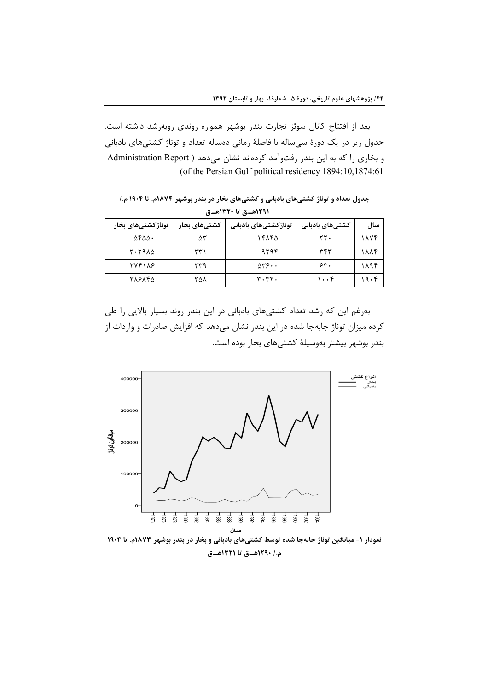بعد از افتتاح کانال سوئز تجارت بندر بوشهر همواره روندی روبهرشد داشته است. جدول زیر در یک دورهٔ سیساله با فاصلهٔ زمانی دهساله تعداد و توناژ کشتیهای بادبانی و بخاری را که به این بندر رفتوآمد کردهاند نشان میدهد ( Administration Report (of the Persian Gulf political residency 1894:10,1874:61

جدول تعداد و توناژ کشتیهای بادبانی و کشتیهای بخار در بندر بوشهر ۱۸۷۴م. تا ۱۹۰۴ م./ ١٢٩١هـق تا ١٣٢٠هـق

| توناژکشتیهای بخار | کشتیهای بخار | توناژکشتیهای بادبانی            | کشتیهای بادبانی   | سال  |
|-------------------|--------------|---------------------------------|-------------------|------|
| ۵۴۵۵۰             | ۵٣           | ۱۴۸۴۵                           | ۲۲۰               | 1884 |
| ۲۰۲۹۸۵            | ۲۳۱          | ۹۲۹۴                            | ۳۴۳               | 1884 |
| <b>TVF118</b>     | ۲۳۹          | $\Delta r \epsilon \cdot \cdot$ | 55.               | ۱۸۹۴ |
| ۲۸۶۸۴۵            | ۲۵۸          | $r \cdot r \cdot$               | $1 \cdot \cdot 5$ | ۱۹۰۴ |

بهرغم این که رشد تعداد کشتیهای بادبانی در این بندر روند بسیار بالایی را طی کرده میزان توناژ جابهجا شده در این بندر نشان میدهد که افزایش صادرات و واردات از بندر بوشهر بيشتر بهوسيلة كشتىهاى بخار بوده است.



#### م./ ١٢٩٠هــق تا ١٣٢١هــق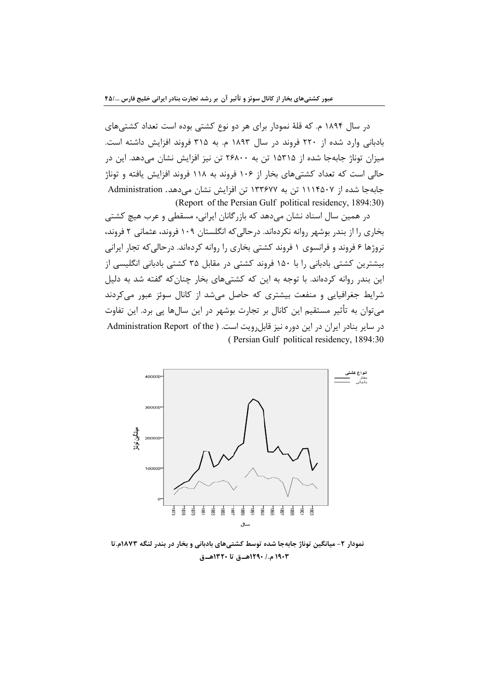در سال ۱۸۹۴ م. که قلهٔ نمودار برای هر دو نوع کشتی بوده است تعداد کشتیهای بادبانی وارد شده از ۲۲۰ فروند در سال ۱۸۹۳ م. به ۳۱۵ فروند افزایش داشته است. میزان توناژ جابهجا شده از ۱۵۳۱۵ تن به ۲۶۸۰۰ تن نیز افزایش نشان میدهد. این در حالی است که تعداد کشتیهای بخار از ۱۰۶ فروند به ۱۱۸ فروند افزایش یافته و توناژ جابه جا شده از ۱۱۱۴۵۰۷ تن به ۱۳۳۶۷۷ تن افزایش نشان می دهد. Administration (Report of the Persian Gulf political residency, 1894:30)

در همین سال اسناد نشان میدهد که بازرگانان ایرانی، مسقطی و عرب هیچ کشتی بخاری را از بندر بوشهر روانه نکردهاند. درحالی که انگلستان ۱۰۹ فروند، عثمانی ۲ فروند، نروژها ۶ فروند و فرانسوی ۱ فروند کشتی بخاری را روانه کردهاند. درحالی که تجار ایرانی بیشترین کشتی بادبانی را با ۱۵۰ فروند کشتی در مقابل ۳۵ کشتی بادبانی انگلیسی از این بندر روانه کردهاند. با توجه به این که کشتیهای بخار چنانکه گفته شد به دلیل شرایط جغرافیایی و منفعت بیشتری که حاصل می شد از کانال سوئز عبور می کردند می توان به تأثیر مستقیم این کانال بر تجارت بوشهر در این سالها پی برد. این تفاوت در سایر بنادر ایران در این دوره نیز قابل رویت است. ( Administration Report of the (Persian Gulf political residency, 1894:30)



نمودار ۲- میانگین توناژ جابهجا شده توسط کشتی های بادبانی و بخار در بندر لنگه ۱۸۷۳م.تا ١٩٠٣ م./ ١٢٩٠هـ.ق تا ١٣٢٠هــق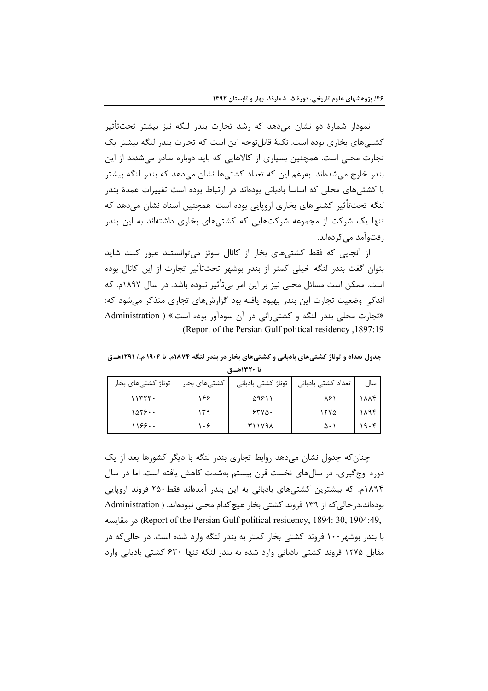نمودار شمارهٔ دو نشان میدهد که رشد تجارت بندر لنگه نیز بیشتر تحتتأثیر کشتیهای بخاری بوده است. نکتهٔ قابلٍ توجه این است که تجارت بندر لنگه بیشتر یک تجارت محلی است. همچنین بسیاری از کالاهایی که باید دوباره صادر می شدند از این بندر خارج می شدهاند. به غم این که تعداد کشتی ها نشان می دهد که بندر لنگه بیشتر با کشتے های محلی که اساساً بادبانی بودهاند در ارتباط بوده است تغییرات عمدهٔ بندر لنگه تحتتأثیر کشتی،های بخاری اروپایی بوده است. همچنین اسناد نشان میدهد که تنها یک شرکت از مجموعه شرکتهایی که کشتیهای بخاری داشتهاند به این بندر رفتوآمد مے کردہاند.

از آنجایی که فقط کشتیهای بخار از کانال سوئز میتوانستند عبور کنند شاید بتوان گفت بندر لنگه خیلی کمتر از بندر بوشهر تحت $\vec{z}$ اثیر تجارت از این کانال بوده است. ممکن است مسائل محلی نیز بر این امر بی تأثیر نبوده باشد. در سال ۱۸۹۷م. که اندکی وضعیت تجارت این بندر بهبود یافته بود گزارش های تجاری متذکر مے شود که: «تجارت محلی بندر لنگه و کشتی رانی در آن سودآور بوده است.» ( Administration (Report of the Persian Gulf political residency 1897:19)

جدول تعداد و توناژ کشتے های بادبانی و کشتے های بخار در بندر لنگه ۱۸۷۴م. تا ۱۹۰۴ م./ ۱۲۹۱هــوّ تا ١٣٢٠هــة

| ِ توناژ کشتیهای بخار | کشتیهای بخار | توناژ کشتی بادبانی | تعداد کشتی بادبانی | سال  |
|----------------------|--------------|--------------------|--------------------|------|
| 11555                | ۱۴۶          | ۵۹۶۱۱              | ۸۶۱                | ۱۸۸۴ |
| ۱۵۲۶۰۰               | ۱۳۹          | 5500               | ۱۲۷۵               | ۱۸۹۴ |
| 1199                 | ۱۰۶          | ۳۱۱۷۹۸             | ۵۰۱                | ۱۹۰۴ |

چنان که جدول نشان میدهد روابط تجاری بندر لنگه با دیگر کشورها بعد از یک دوره اوج گیری، در سالهای نخست قرن بیستم بهشدت کاهش یافته است. اما در سال ۱۸۹۴م. که بیشترین کشتیهای بادبانی به این بندر آمدهاند فقط۲۵۰ فروند اروپایی بودهاند،در حالي كه از ١٣٩ فروند كشتى بخار هيچ كدام محلي نبودهاند. ( Administration , و Report of the Persian Gulf political residency, 1894: 30, 1904:49, مقايسه با بندر بوشهر ۱۰۰ فروند کشتی بخار کمتر به بندر لنگه وارد شده است. در حالی که در مقابل ۱۲۷۵ فروند کشتی بادبانی وارد شده به بندر لنگه تنها ۶۳۰ کشتی بادبانی وارد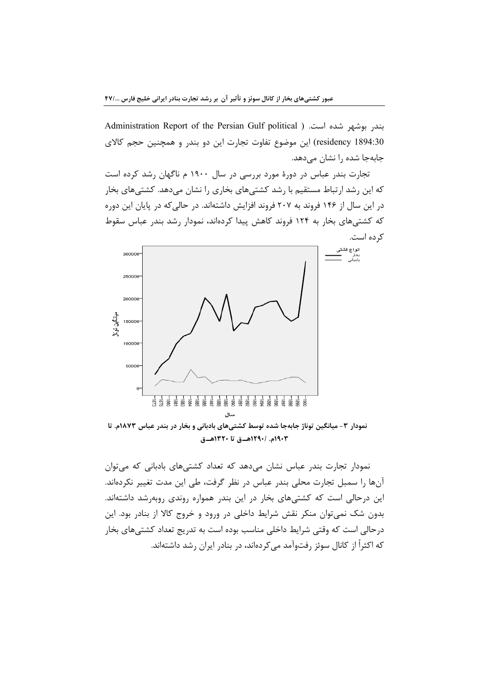Administration Report of the Persian Gulf political ) .بندر بوشهر شده است. ( residency 1894:30) این موضوع تفاوت تجارت این دو بندر و همچنین حجم کالای جابهجا شده را نشان می دهد.

تجارت بندر عباس در دورهٔ مورد بررسی در سال ۱۹۰۰ م ناگهان رشد کرده است که این رشد ارتباط مستقیم با رشد کشتیهای بخاری را نشان میدهد. کشتیهای بخار در این سال از ۱۴۶ فروند به ۲۰۷ فروند افزایش داشتهاند. در حالی که در پایان این دوره که کشتیهای بخار به ۱۲۴ فروند کاهش پیدا کردهاند، نمودار رشد بندر عباس سقوط کر ده است.



نمودار ۳- میانگین توناژ جابهجا شده توسط کشتیهای بادبانی و بخار در بندر عباس ۱۸۷۳م. تا ١٩٠٣م. /١٢٩٠هــق تا ١٣٢٠هــق

نمودار تجارت بندر عباس نشان می دهد که تعداد کشتی های بادبانی که می توان آنها را سمبل تجارت محلی بندر عباس در نظر گرفت، طی این مدت تغییر نکردهاند. این درحالی است که کشتی های بخار در این بندر همواره روندی روبهرشد داشتهاند. بدون شک نمیتوان منکر نقش شرایط داخلی در ورود و خروج کالا از بنادر بود. این درحالي است كه وقتي شرايط داخلي مناسب بوده است به تدريج تعداد كشتيهاي بخار که اکثراً از کانال سوئز رفتوآمد مے کردهاند، در بنادر ایران رشد داشتهاند.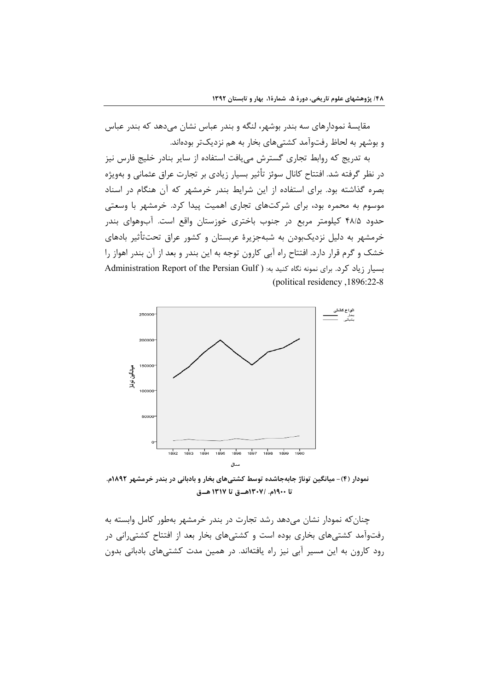مقایسهٔ نمودارهای سه بندر بوشهر، لنگه و بندر عباس نشان میدهد که بندر عباس و بوشهر به لحاظ رفتوآمد كشتىهاى بخار به هم نزديكتر بودهاند.

به تدریج که روابط تجاری گسترش مییافت استفاده از سایر بنادر خلیج فارس نیز در نظر گرفته شد. افتتاح کانال سوئز تأثیر بسیار زیادی بر تجارت عراق عثمانی و بهویژه بصره گذاشته بود. برای استفاده از این شرایط بندر خرمشهر که آن هنگام در اسناد موسوم به محمره بود، برای شرکتهای تجاری اهمیت پیدا کرد. خرمشهر با وسعتی حدود ۴۸/۵ کیلومتر مربع در جنوب باختری خوزستان واقع است. آبوهوای بندر خرمشهر به دلیل نزدیکبودن به شبهجزیرهٔ عربستان و کشور عراق تحت $\vec{z}$ اشیر بادهای خشک و گرم قرار دارد. افتتاح راه آبی کارون توجه به این بندر و بعد از آن بندر اهواز را بسیار زیاد کرد. برای نمونه نگاه کنید به: ( Administration Report of the Persian Gulf (political residency, 1896:22-8)



نمودار (۴)- میانگین توناژ جابهجاشده توسط کشتیهای بخار و بادبانی در بندر خرمشهر ۱۸۹۲م. تا ١٩٠٠م. /١٣٠٧هـق تا ١٣١٧هـق

چنان که نمودار نشان میدهد رشد تجارت در بندر خرمشهر بهطور کامل وابسته به رفتوآمد کشتے های بخاری بوده است و کشتے های بخار بعد از افتتاح کشتے رانی در رود کارون به این مسیر آبی نیز راه یافتهاند. در همین مدت کشتیهای بادبانی بدون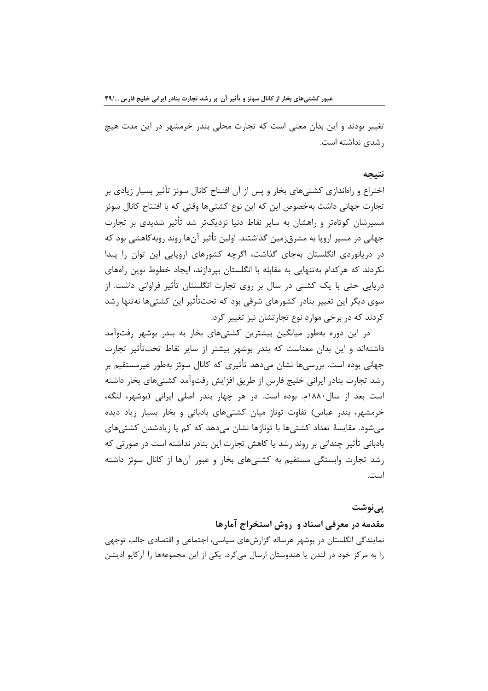عبور کشتیهای بخار از کانال سوئز و تأثیر آن بر رشد تجارت بنادر ایرانی خلیج فارس ۴۹/…

تغییر بودند و این بدان معنی است که تجارت محلی بندر خرمشهر در این مدت هیچ ، شدی نداشته است.

#### نتيجه

اختراع و راهاندازی کشتیهای بخار و پس از آن افتتاح کانال سوئز تأثیر بسیار زیادی بر تجارت جهانی داشت بهخصوص این که این نوع کشتیها وقتی که با افتتاح کانال سوئز مسیرشان کوتاەتر و راهشان به سایر نقاط دنیا نزدیکتر شد تأثیر شدیدی بر تجارت جهانی در مسیر اروپا به مشرق;مین گذاشتند. اولین تأثیر آنها روند روبهکاهشی بود که در دریانوردی انگلستان بهجای گذاشت، اگرچه کشورهای اروپایی این توان را پیدا نکردند که هرکدام بهتنهایی به مقابله با انگلستان بپردازند، ایجاد خطوط نوین راههای دریایی حتی با یک کشتی در سال بر روی تجارت انگلستان تأثیر فراوانی داشت. از سوی دیگر این تغییر بنادر کشورهای شرقی بود که تحتتأثیر این کشتیها نهتنها رشد کردند که در برخی موارد نوع تجارتشان نیز تغییر کرد.

در این دوره بهطور میانگین بیشترین کشتیهای بخار به بندر بوشهر رفتوآمد داشتهاند و این بدان معناست که بندر بوشهر بیشتر از سایر نقاط تحتiأثیر تجارت جهانی بوده است. بررسے ها نشان مے دهد تأثیری که کانال سوئز بەطور غیرمستقیم بر رشد تجارت بنادر ايراني خليج فارس از طريق افزايش رفتواًمد كشتىهاى بخار داشته است بعد از سال۱۸۸۰م. بوده است. در هر چهار بندر اصلی ایرانی (بوشهر، لنگه، خرمشهر، بندر عباس) تفاوت توناژ میان کشتیهای بادبانی و بخار بسیار زیاد دیده میشود. مقایسهٔ تعداد کشتیها با توناژها نشان میدهد که کم یا زیادشدن کشتیهای بادبانی تأثیر چندانی بر روند رشد یا کاهش تجارت این بنادر نداشته است در صورتی که رشد تجارت وابستگی مستقیم به کشتیهای بخار و عبور آنها از کانال سوئز داشته است.

## یے نوشت

مقدمه در معرفی اسناد و روش استخراج آمارها

نمایندگی انگلستان در بوشهر هرساله گزارشهای سیاسی، اجتماعی و اقتصادی جالب توجهی را به مرکز خود در لندن یا هندوستان ارسال می کرد. یکی از این مجموعهها را آرکایو ادیشن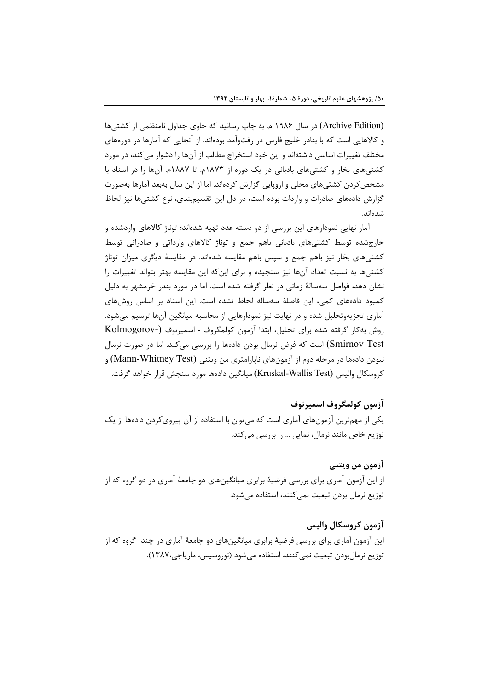(Archive Edition) در سال ۱۹۸۶ م. به چاپ رسانید که حاوی جداول نامنظمی از کشتی ها و کالاهایی است که با بنادر خلیج فارس در رفتوآمد بودهاند. از آنجایی که آمارها در دورههای مختلف تغییرات اساسی داشتهاند و این خود استخراج مطالب از آنها را دشوار میکند، در مورد کشتیهای بخار و کشتیهای بادبانی در یک دوره از ۱۸۷۳م. تا ۱۸۸۷م. آنها را در اسناد با مشخص کردن کشتیهای محلی و اروپایی گزارش کردهاند. اما از این سال بهبعد آمارها بهصورت گزارش دادههای صادرات و واردات بوده است، در دل این تقسیمبندی، نوع کشتیها نیز لحاظ شدەاند.

آما, نهایے, نمودا,های این بررسے, از دو دسته عدد تهیه شدهاند؛ توناژ کالاهای واردشده و خارجشده توسط کشتیهای بادبانی باهم جمع و توناژ کالاهای وارداتی و صادراتی توسط کشتی های بخار نیز باهم جمع و سیس باهم مقایسه شدهاند. در مقایسهٔ دیگری میزان توناژ کشتیها به نسبت تعداد آنها نیز سنجیده و برای اینکه این مقایسه بهتر بتواند تغییرات را نشان دهد، فواصل سهسالهٔ زمانی در نظر گرفته شده است. اما در مورد بندر خرمشهر به دلیل كمبود دادههای كمی، این فاصلهٔ سهساله لحاظ نشده است. این اسناد بر اساس روشهای آماری تجزیهوتحلیل شده و در نهایت نیز نمودارهایی از محاسبه میانگین آنها ترسیم میشود. روش به كار گرفته شده براى تحليل، ابتدا آزمون كولمگروف - اسميرنوف (-Kolmogorov Smirnov Test) است که فرض نرمال بودن دادهها را بررسی میکند. اما در صورت نرمال نبودن دادهها در مرحله دوم از آزمونهای ناپارامتری من ویتنی (Mann-Whitney Test) و كروسكال واليس (Kruskal-Wallis Test) ميانگين دادهها مورد سنجش قرار خواهد گرفت.

آزمون كولمگروف اسميرنوف یکی از مهمترین آزمونهای آماری است که می توان با استفاده از آن پیروی کردن دادهها از یک توزیع خاص مانند نرمال، نمایی … را بررسی میکند.

آزمون من ويتني

از این آزمون آماری برای بررسی فرضیهٔ برابری میانگینهای دو جامعهٔ آماری در دو گروه که از توزیع نرمال بودن تبعیت نمی کنند، استفاده می شود.

آزمون کروسکال والیس این آزمون آماری برای بررسی فرضیهٔ برابری میانگینهای دو جامعهٔ آماری در چند گروه که از توزيع نرمال بودن تبعيت نمي كنند، استفاده مي شود (نوروسيس، مارياجي،١٣٨٧).